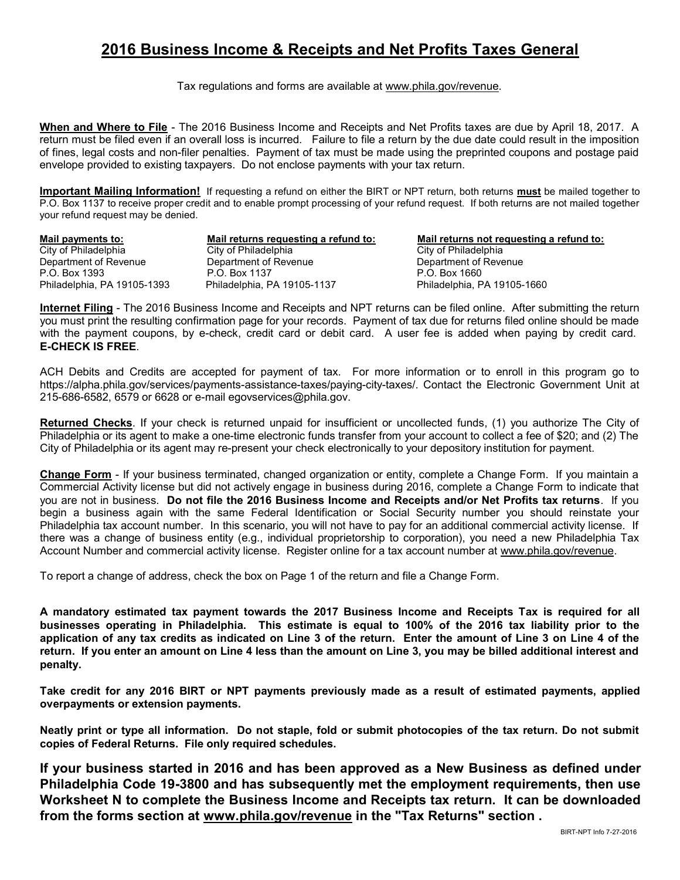## 2016 Business Income & Receipts and Net Profits Taxes General

Tax regulations and forms are available at www.phila.gov/revenue.

When and Where to File - The 2016 Business Income and Receipts and Net Profits taxes are due by April 18, 2017. A return must be filed even if an overall loss is incurred. Failure to file a return by the due date could result in the imposition of fines, legal costs and non-filer penalties. Payment of tax must be made using the preprinted coupons and postage paid envelope provided to existing taxpayers. Do not enclose payments with your tax return.

Important Mailing Information! If requesting a refund on either the BIRT or NPT return, both returns must be mailed together to P.O. Box 1137 to receive proper credit and to enable prompt processing of your refund request. If both returns are not mailed together your refund request may be denied.

City of Philadelphia<br>
City of Philadelphia<br>
Department of Revenue<br>
Department of Revenue<br>
Department of Revenue Department of Revenue P.O. Box 1393 P.O. Box 1137 P.O. Box 1660 Philadelphia, PA 19105-1393 Philadelphia, PA 19105-1137 Philadelphia, PA 19105-1660

Mail payments to: Mail returns requesting a refund to: Mail returns not requesting a refund to:<br>City of Philadelphia City of Philadelphia City of Philadelphia

Internet Filing - The 2016 Business Income and Receipts and NPT returns can be filed online. After submitting the return you must print the resulting confirmation page for your records. Payment of tax due for returns filed online should be made with the payment coupons, by e-check, credit card or debit card. A user fee is added when paying by credit card. E-CHECK IS FREE.

ACH Debits and Credits are accepted for payment of tax. For more information or to enroll in this program go to https://alpha.phila.gov/services/payments-assistance-taxes/paying-city-taxes/. Contact the Electronic Government Unit at 215-686-6582, 6579 or 6628 or e-mail egovservices@phila.gov.

Returned Checks. If your check is returned unpaid for insufficient or uncollected funds, (1) you authorize The City of Philadelphia or its agent to make a one-time electronic funds transfer from your account to collect a fee of \$20; and (2) The City of Philadelphia or its agent may re-present your check electronically to your depository institution for payment.

Change Form - If your business terminated, changed organization or entity, complete a Change Form. If you maintain a Commercial Activity license but did not actively engage in business during 2016, complete a Change Form to indicate that you are not in business. Do not file the 2016 Business Income and Receipts and/or Net Profits tax returns. If you begin a business again with the same Federal Identification or Social Security number you should reinstate your Philadelphia tax account number. In this scenario, you will not have to pay for an additional commercial activity license. If there was a change of business entity (e.g., individual proprietorship to corporation), you need a new Philadelphia Tax Account Number and commercial activity license. Register online for a tax account number at www.phila.gov/revenue.

To report a change of address, check the box on Page 1 of the return and file a Change Form.

A mandatory estimated tax payment towards the 2017 Business Income and Receipts Tax is required for all businesses operating in Philadelphia. This estimate is equal to 100% of the 2016 tax liability prior to the application of any tax credits as indicated on Line 3 of the return. Enter the amount of Line 3 on Line 4 of the return. If you enter an amount on Line 4 less than the amount on Line 3, you may be billed additional interest and penalty.

Take credit for any 2016 BIRT or NPT payments previously made as a result of estimated payments, applied overpayments or extension payments.

Neatly print or type all information. Do not staple, fold or submit photocopies of the tax return. Do not submit copies of Federal Returns. File only required schedules.

If your business started in 2016 and has been approved as a New Business as defined under Philadelphia Code 19-3800 and has subsequently met the employment requirements, then use Worksheet N to complete the Business Income and Receipts tax return. It can be downloaded from the forms section at www.phila.gov/revenue in the "Tax Returns" section .